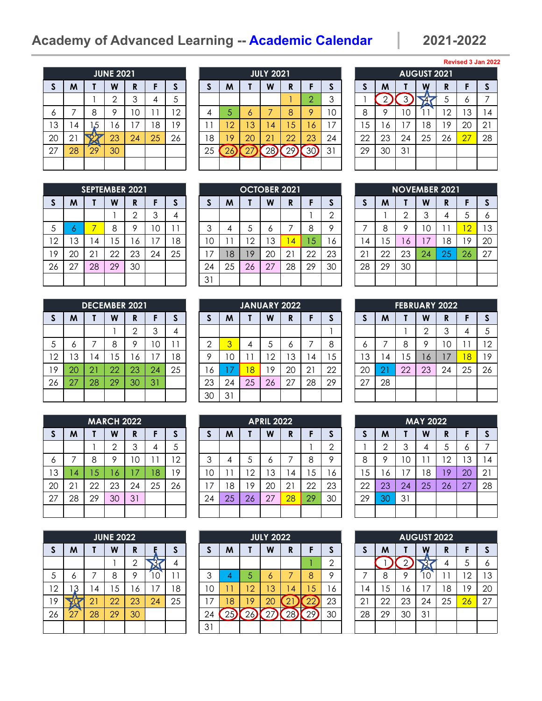# **Academy of Advanced Learning -- Academic Calendar 2021-2022**

|              |    |                 | <b>JUNE 2021</b> |    |    |    |
|--------------|----|-----------------|------------------|----|----|----|
| $\mathsf{s}$ | M  | Τ               | W                | R  | F  | S  |
|              |    |                 | $\overline{2}$   | 3  | 4  | 5  |
| 6            | 7  | 8               | 9                | 10 | 11 | 12 |
| 13           | 4  | 1,5             | 16               | 17 | 18 | 19 |
| 20           | 21 |                 | 23               | 24 | 25 | 26 |
| 27           | 28 | $\overline{29}$ | 30               |    |    |    |
|              |    |                 |                  |    |    |    |

|              |    | <b>SEPTEMBER 2021</b> |    |     |    |          |    |    | <b>OCTOBER 2021</b> |    |    |    |    |               |     | NOVEMBER 2021 |    |    |                         |    |
|--------------|----|-----------------------|----|-----|----|----------|----|----|---------------------|----|----|----|----|---------------|-----|---------------|----|----|-------------------------|----|
| <sub>S</sub> | M  |                       | W  | R   |    |          |    | M  |                     | W  | R  |    | æ  |               | M   |               | W  | D  |                         | S  |
|              |    |                       |    | ⌒   |    | $\prime$ |    |    |                     |    |    |    | ⌒  |               |     | ⌒             | 3  |    | ა                       | 6  |
| 5            | o  |                       | 8  | o   | 0  |          | ⌒  | 4  |                     | O  |    | 8  | ٥  |               | 8   | Q             | 0  |    | $\overline{\mathbf{2}}$ | 13 |
| 12           | 3  | . 4                   | -5 | ، ه | 7  | 8        | 0  |    | $\overline{2}$      | ıЗ | 4  | 15 | 6  | 4             | . 5 | 6             |    | 8  | 19                      | 20 |
| 19           | 20 | 21                    | 22 | 23  | 24 | 25       |    | 18 | 9                   | 20 | 21 | 22 | 23 | $\mathcal{L}$ | 22  | 23            | 24 | 25 | 26                      | 27 |
| 26           | 27 | 28                    | 29 | 30  |    |          | 24 | 25 | 26                  |    | 28 | 29 | 30 | 28            | 29  | 30            |    |    |                         |    |

|              |    |    | <b>DECEMBER 2021</b> |              |    |    |
|--------------|----|----|----------------------|--------------|----|----|
| $\mathsf{s}$ | M  |    | W                    | R            | F  | S  |
|              |    |    |                      | $\mathbf{2}$ | 3  |    |
| 5            | 6  | 7  | 8                    | 9            | 10 |    |
| 12           | 13 | 14 | 15                   | 16           | 17 | 18 |
| 19           | 20 | 21 | 22                   | 23           | 24 | 25 |
| 26           | 27 | 28 | 29                   | 30           | 31 |    |
|              |    |    |                      |              |    |    |

|              |    |    | <b>MARCH 2022</b> |    |    |    |
|--------------|----|----|-------------------|----|----|----|
| $\mathsf{s}$ | M  |    | W                 | R  | F  | S  |
|              |    |    | $\overline{2}$    | 3  | 4  | 5  |
| 6            | 7  | 8  | 9                 | 10 | 11 | 12 |
| 13           | 14 | 15 | 16                | 17 | 18 | 19 |
| 20           | 21 | 22 | 23                | 24 | 25 | 26 |
| 27           | 28 | 29 | 30                | 31 |    |    |
|              |    |    |                   |    |    |    |

|              |    |    | <b>JUNE 2022</b> |                |    |    |
|--------------|----|----|------------------|----------------|----|----|
| $\mathsf{s}$ | M  |    | W                | R              |    | S  |
|              |    |    |                  | $\overline{2}$ |    | 4  |
| 5            | 6  |    | 8                | 9              | 10 |    |
| 12           | 3  | 4  | 15               | 16             | 17 | 18 |
| 19           |    | 21 | 22               | 23             | 24 | 25 |
| 26           | 27 | 28 | 29               | 30             |    |    |
|              |    |    |                  |                |    |    |

|    |    |    | <b>JUNE 2021</b> |    |    |        |    |    |           | <b>JULY 2021</b> |     |             |    |    |         |                | <b>AUGUST 2021</b> |        |         |    |
|----|----|----|------------------|----|----|--------|----|----|-----------|------------------|-----|-------------|----|----|---------|----------------|--------------------|--------|---------|----|
| S  | M  |    | W                | R  |    |        |    | M  |           | W                | R   |             | J. |    | M       |                | W                  | D<br>n |         | S  |
|    |    |    |                  | 3  |    | $\sim$ |    |    |           |                  |     | Ω           | ↷  |    |         |                |                    |        | Ô       |    |
| Ô  |    | 8  |                  | 10 |    | ာ      |    | 5  | Ō         |                  | 8   | $\mathsf Q$ | 10 | 8  | $\circ$ | 0              |                    | 2      | ્ર<br>J | 4  |
| 13 | 4  | .5 | 6                | 7  | 8  | 9      |    | 12 | 3         | 4                | 5   | 6           |    | 5  | ، ه     | $\overline{7}$ | 8                  | 9      | 20      | 21 |
| 20 | 21 |    | 23               | 24 | 25 | 26     | 8  | 19 | <b>20</b> | 21               | 22  | 23          | 24 | 22 | 23      | 24             | 25                 | 26     | 27      | 28 |
| 27 | 28 | 29 | 30               |    |    |        | 25 |    |           |                  | '9ر | 30          | 31 | 29 | 30      | 31             |                    |        |         |    |
|    |    |    |                  |    |    |        |    |    |           |                  |     |             |    |    |         |                |                    |        |         |    |

|    | <b>SEPTEMBER 2021</b> |    |    |    |     |    |             | <b>OCTOBER 2021</b> |    |    |    |    |    |                |    | <b>NOVEMBER 2021</b> |    |                |
|----|-----------------------|----|----|----|-----|----|-------------|---------------------|----|----|----|----|----|----------------|----|----------------------|----|----------------|
|    | W                     | R  |    | æ  |     | M  |             | W                   | R  |    | e. | o  | M  |                | W  | R                    |    | з.             |
|    |                       | ⌒  |    |    |     |    |             |                     |    |    | ∩  |    |    |                | っ  |                      | 5  | 6              |
| -  | 8                     | o  | C  |    | ◠   |    | Ċ           | 0                   |    | 8  | Q  |    | 8  |                | O  |                      | ⌒  | 1.             |
| 4  | 5                     | 6  | 7  | 8  | C   |    | $^{\circ}2$ | '3                  | 14 | 5  | 6  | 4  | 5  | 6 <sup>7</sup> |    | 8                    | 9  | 2 <sup>0</sup> |
| 21 | 22                    | 23 | 24 | 25 |     | 8  | $\mathsf Q$ | 20                  | 21 | 22 | 23 | 21 | 22 | 23             | 24 | $\cap$<br>23         | 26 | 27             |
| 28 | 29                    | 30 |    |    | 24  | 25 | 26          | 27                  | 28 | 29 | 30 | 28 | 29 | 30             |    |                      |    |                |
|    |                       |    |    |    | -21 |    |             |                     |    |    |    |    |    |                |    |                      |    |                |
|    |                       |    |    |    |     |    |             |                     |    |    |    |    |    |                |    |                      |    |                |

|                 |    | <b>DECEMBER 2021</b> |    |         |    |          |    |    | <b>JANUARY 2022</b> |    |    |    |    |        |    |    |         | <b>FEBRUARY 2022</b> |    |    |
|-----------------|----|----------------------|----|---------|----|----------|----|----|---------------------|----|----|----|----|--------|----|----|---------|----------------------|----|----|
| S               | M  |                      | W  | R       |    |          |    | M  |                     | W  | R  |    | æ. |        | M  |    | W       | D<br>n               |    |    |
|                 |    |                      |    | ⌒       |    | $\prime$ |    |    |                     |    |    |    |    |        |    |    | ⌒       | ⌒                    | 4  | 5  |
| 5               | o  |                      | ດ  | $\circ$ | 0  |          | ⌒  | 3  |                     |    | O  |    | 8  | O      |    | 8  | O       | 0                    |    | 12 |
| 12 <sup>2</sup> | 3  | . 4                  | 5  | 6       | 7  | 8        | റ  | 1C |                     | 2  | 3  | 4  | 5  | 3      | 4  | 5  | $\circ$ |                      | 8  | 19 |
| 19              | 20 | 21                   | 22 | 23      | 24 | 25       | 6  |    | 8                   | 9  | 20 | 21 | 22 | 20     |    | 22 | 23      | 24                   | 25 | 26 |
| 26              | 27 | 28                   | 29 | 30      | 31 |          | 23 | 24 | 25                  | 26 | 27 | 28 | 29 | $\cap$ | 28 |    |         |                      |    |    |
|                 |    |                      |    |         |    |          | 30 | 31 |                     |    |    |    |    |        |    |    |         |                      |    |    |

|    |                |    | <b>MARCH 2022</b> |    |    |                          |    |    |                | <b>APRIL 2022</b> |    |    |    |    |                |    | <b>MAY 2022</b> |        |             |          |
|----|----------------|----|-------------------|----|----|--------------------------|----|----|----------------|-------------------|----|----|----|----|----------------|----|-----------------|--------|-------------|----------|
| S  | M              |    | W                 | R  |    |                          |    | M  |                | W                 | R  |    | æ. |    | M              |    | W               | D<br>n |             | <b>S</b> |
|    |                |    | ⌒                 | 3  |    | $\overline{\phantom{0}}$ |    |    |                |                   |    |    | ⌒  |    | $\cap$         | 3  | 4               | C      | O           |          |
| O  |                | 8  |                   | 10 |    | 2                        | ⌒  | 4  |                | O                 |    | 8  | Q  | 8  | Q              | 10 |                 | 2      | כ ו<br>J    | 4        |
| 13 | $\overline{A}$ | -5 | 6                 | 47 | 81 | 9                        | ۱O |    | $\overline{2}$ | 3                 | 4  | 5  | 6  | -5 | . 6            |    | 8               | 9      | 20          | 21       |
| 20 | 21             | 22 | 23                | 24 | 25 | 26                       |    | 8  | 9              | 20                | 2' | 22 | 23 | 22 | 23             | 24 | 25              | 26     | $\sqrt{27}$ | 28       |
| 27 | 28             | 29 | 30                | 31 |    |                          | 24 | 25 | 26             | 27                | 28 | 29 | 30 | 29 | 3 <sup>c</sup> | 31 |                 |        |             |          |
|    |                |    |                   |    |    |                          |    |    |                |                   |    |    |    |    |                |    |                 |        |             |          |

|              |                              |     | <b>JUNE 2022</b> |    |    |    |    |    |    |                | <b>JULY 2022</b> |     |    |    |               |    |         | <b>AUGUST 2022</b> |    |                 |    |
|--------------|------------------------------|-----|------------------|----|----|----|----|----|----|----------------|------------------|-----|----|----|---------------|----|---------|--------------------|----|-----------------|----|
| <sub>S</sub> | M                            |     | W                | R  |    |    |    |    | M  |                | W                | R   |    | o  |               | M  |         | W                  | D  |                 | S  |
|              |                              |     |                  | ⌒  |    |    |    |    |    |                |                  |     |    | ◠  |               |    |         |                    |    | C               | 6  |
| 5            | o                            |     | 8                | о  | 0  |    |    | ⌒  | 4  |                | Ô                |     | 8  | Q  |               | 8  | $\circ$ |                    |    | 12 <sub>1</sub> | 13 |
| 12           | 3                            | l 4 | 5                | 6  | 7  | 8  |    | 0  |    | $\overline{2}$ | 3                | 4   | 5  | 6  | 4             | ა  | 6       |                    | 8  | 19              | 20 |
| 19           |                              | ⌒   | 22               | 23 | 24 | 25 |    | 7  | 18 | 9              | 20               | ∸   | ∠∠ | 23 | $\cap$ 1<br>∠ | 22 | 23      | 24                 | 25 | 26              | 27 |
| 26           | $\sqrt{7}$<br>$\mathcal{L}I$ | 28  | 29               | 30 |    |    |    | 24 | -೧ | <sup>n</sup>   |                  | 28. | 29 | 30 | 28            | 29 | 30      | 31                 |    |                 |    |
|              |                              |     |                  |    |    |    | 31 |    |    |                |                  |     |    |    |               |    |         |                    |    |                 |    |

|              |    |    | <b>AUGUST 2021</b> |    |    |    |
|--------------|----|----|--------------------|----|----|----|
| $\mathsf{s}$ | M  |    |                    | R  | F  | S  |
|              | 2  |    |                    | 5  | 6  |    |
| 8            | 9  | 10 |                    | 12 | 13 | 14 |
| 15           | 16 | 17 | 18                 | 19 | 20 | 21 |
| 22           | 23 | 24 | 25                 | 26 | 27 | 28 |
| 29           | 30 | 31 |                    |    |    |    |
|              |    |    |                    |    |    |    |

|              |    | <b>NOVEMBER 2021</b> |    |    |    |              |
|--------------|----|----------------------|----|----|----|--------------|
| $\mathsf{s}$ | M  | Τ                    | W  | R  | F  | $\mathsf{s}$ |
|              |    | $\mathbf{2}$         | 3  | 4  | 5  | 6            |
| 7            | 8  | 9                    | 10 | 11 | 12 | 13           |
| 14           | 15 | 16                   | 17 | 18 | 19 | 20           |
| 21           | 22 | 23                   | 24 | 25 | 26 | 27           |
| 28           | 29 | 30                   |    |    |    |              |
|              |    |                      |    |    |    |              |

| <b>FEBRUARY 2022</b> |    |    |                |    |    |              |  |
|----------------------|----|----|----------------|----|----|--------------|--|
| $\mathsf{s}$         | M  |    | W              | R  | F  | $\mathsf{s}$ |  |
|                      |    |    | $\overline{2}$ | 3  | 4  | 5            |  |
| 6                    |    | 8  | 9              | 10 | 11 | 12           |  |
| 13                   | 14 | 15 | 16             | 17 | 18 | 19           |  |
| 20                   | 21 | 22 | 23             | 24 | 25 | 26           |  |
| 27                   | 28 |    |                |    |    |              |  |
|                      |    |    |                |    |    |              |  |

| <b>MAY 2022</b> |    |    |    |    |    |    |  |
|-----------------|----|----|----|----|----|----|--|
| $\mathsf{s}$    | M  | Τ  | W  | R  | F  | S  |  |
|                 | 2  | 3  | 4  | 5  | 6  |    |  |
| 8               | 9  | 10 | 11 | 12 | 13 | 14 |  |
| 15              | 16 | 17 | 18 | 19 | 20 | 21 |  |
| 22              | 23 | 24 | 25 | 26 | 27 | 28 |  |
| 29              | 30 | 31 |    |    |    |    |  |
|                 |    |    |    |    |    |    |  |

| <b>AUGUST 2022</b> |    |    |    |    |    |    |
|--------------------|----|----|----|----|----|----|
| $\mathsf{s}$       | M  |    |    | R  | F  | S  |
|                    |    | 2  |    | 4  | 5  | 6  |
| 7                  | 8  | 9  | O  | 11 | 12 | 13 |
| 14                 | 15 | 16 | 17 | 18 | 19 | 20 |
| 21                 | 22 | 23 | 24 | 25 | 26 | 27 |
| 28                 | 29 | 30 | 31 |    |    |    |
|                    |    |    |    |    |    |    |

#### **Revised 3 Jan 2022**